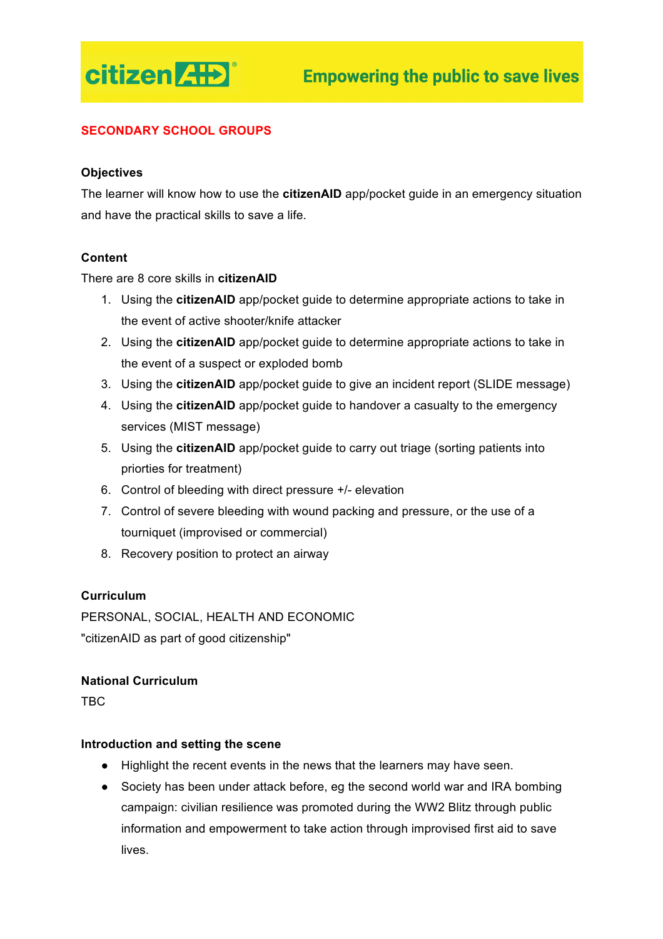

# **SECONDARY SCHOOL GROUPS**

#### **Objectives**

The learner will know how to use the **citizenAID** app/pocket guide in an emergency situation and have the practical skills to save a life.

#### **Content**

There are 8 core skills in **citizenAID**

- 1. Using the **citizenAID** app/pocket guide to determine appropriate actions to take in the event of active shooter/knife attacker
- 2. Using the **citizenAID** app/pocket guide to determine appropriate actions to take in the event of a suspect or exploded bomb
- 3. Using the **citizenAID** app/pocket guide to give an incident report (SLIDE message)
- 4. Using the **citizenAID** app/pocket guide to handover a casualty to the emergency services (MIST message)
- 5. Using the **citizenAID** app/pocket guide to carry out triage (sorting patients into priorties for treatment)
- 6. Control of bleeding with direct pressure +/- elevation
- 7. Control of severe bleeding with wound packing and pressure, or the use of a tourniquet (improvised or commercial)
- 8. Recovery position to protect an airway

## **Curriculum**

PERSONAL, SOCIAL, HEALTH AND ECONOMIC "citizenAID as part of good citizenship"

#### **National Curriculum**

TBC

#### **Introduction and setting the scene**

- Highlight the recent events in the news that the learners may have seen.
- Society has been under attack before, eg the second world war and IRA bombing campaign: civilian resilience was promoted during the WW2 Blitz through public information and empowerment to take action through improvised first aid to save lives.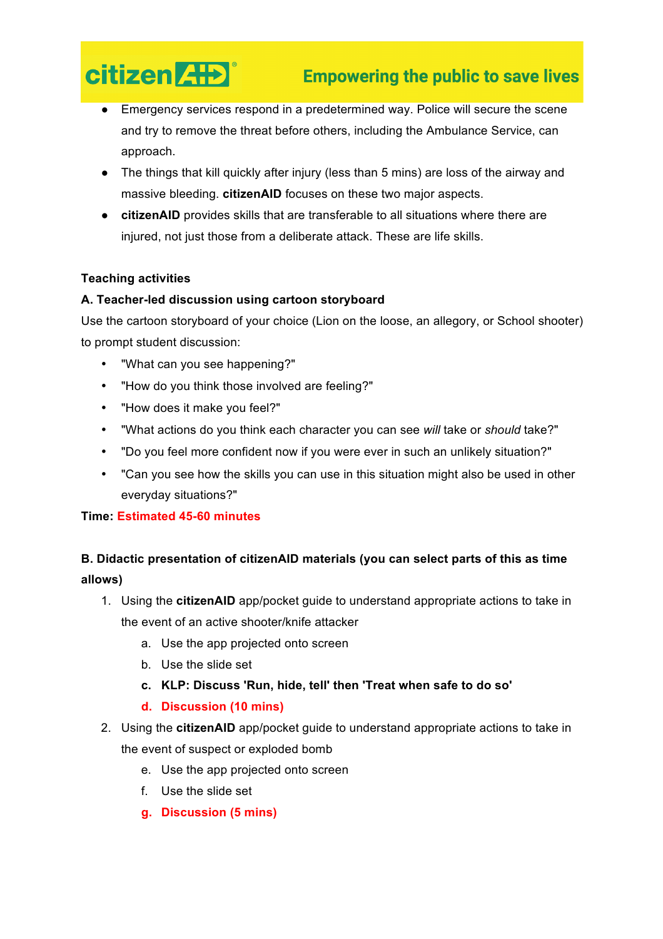# **citizen AHD**®

# **Empowering the public to save lives**

- Emergency services respond in a predetermined way. Police will secure the scene and try to remove the threat before others, including the Ambulance Service, can approach.
- The things that kill quickly after injury (less than 5 mins) are loss of the airway and massive bleeding. **citizenAID** focuses on these two major aspects.
- **citizenAID** provides skills that are transferable to all situations where there are injured, not just those from a deliberate attack. These are life skills.

# **Teaching activities**

# **A. Teacher-led discussion using cartoon storyboard**

Use the cartoon storyboard of your choice (Lion on the loose, an allegory, or School shooter) to prompt student discussion:

- "What can you see happening?"
- "How do you think those involved are feeling?"
- "How does it make you feel?"
- "What actions do you think each character you can see *will* take or *should* take?"
- "Do you feel more confident now if you were ever in such an unlikely situation?"
- "Can you see how the skills you can use in this situation might also be used in other everyday situations?"

## **Time: Estimated 45-60 minutes**

# **B. Didactic presentation of citizenAID materials (you can select parts of this as time allows)**

- 1. Using the **citizenAID** app/pocket guide to understand appropriate actions to take in the event of an active shooter/knife attacker
	- a. Use the app projected onto screen
	- b. Use the slide set
	- **c. KLP: Discuss 'Run, hide, tell' then 'Treat when safe to do so'**
	- **d. Discussion (10 mins)**
- 2. Using the **citizenAID** app/pocket guide to understand appropriate actions to take in the event of suspect or exploded bomb
	- e. Use the app projected onto screen
	- f. Use the slide set
	- **g. Discussion (5 mins)**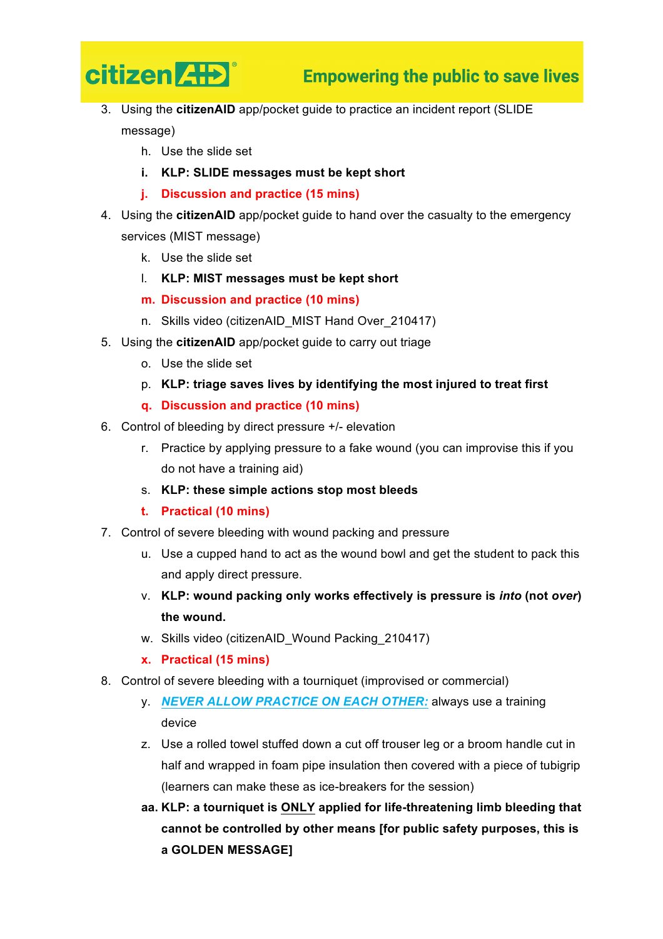

- 3. Using the **citizenAID** app/pocket guide to practice an incident report (SLIDE message)
	- h. Use the slide set
	- **i. KLP: SLIDE messages must be kept short**
	- **j. Discussion and practice (15 mins)**
- 4. Using the **citizenAID** app/pocket guide to hand over the casualty to the emergency services (MIST message)
	- k. Use the slide set
	- l. **KLP: MIST messages must be kept short**
	- **m. Discussion and practice (10 mins)**
	- n. Skills video (citizenAID\_MIST Hand Over\_210417)
- 5. Using the **citizenAID** app/pocket guide to carry out triage
	- o. Use the slide set
	- p. **KLP: triage saves lives by identifying the most injured to treat first**
	- **q. Discussion and practice (10 mins)**
- 6. Control of bleeding by direct pressure +/- elevation
	- r. Practice by applying pressure to a fake wound (you can improvise this if you do not have a training aid)
	- s. **KLP: these simple actions stop most bleeds**
	- **t. Practical (10 mins)**
- 7. Control of severe bleeding with wound packing and pressure
	- u. Use a cupped hand to act as the wound bowl and get the student to pack this and apply direct pressure.
	- v. **KLP: wound packing only works effectively is pressure is** *into* **(not** *over***) the wound.**
	- w. Skills video (citizenAID\_Wound Packing\_210417)
	- **x. Practical (15 mins)**
- 8. Control of severe bleeding with a tourniquet (improvised or commercial)
	- y. *NEVER ALLOW PRACTICE ON EACH OTHER:* always use a training device
	- z. Use a rolled towel stuffed down a cut off trouser leg or a broom handle cut in half and wrapped in foam pipe insulation then covered with a piece of tubigrip (learners can make these as ice-breakers for the session)
	- **aa. KLP: a tourniquet is ONLY applied for life-threatening limb bleeding that cannot be controlled by other means [for public safety purposes, this is a GOLDEN MESSAGE]**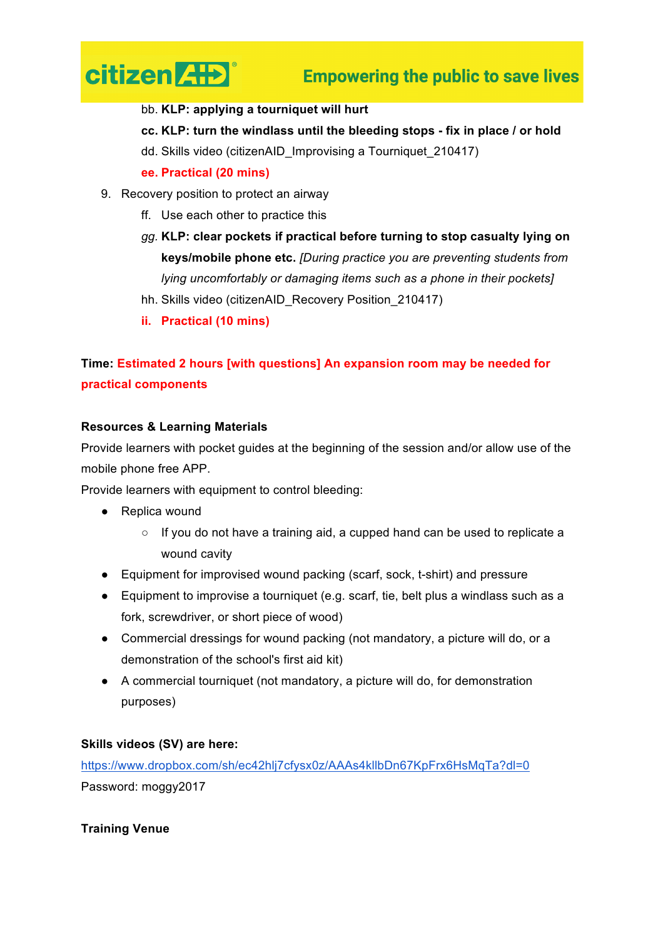# **citizen AHD**® **Empowering the public to save lives**

- bb. **KLP: applying a tourniquet will hurt**
- **cc. KLP: turn the windlass until the bleeding stops - fix in place / or hold**
- dd. Skills video (citizenAID\_Improvising a Tourniquet\_210417)

# **ee. Practical (20 mins)**

- 9. Recovery position to protect an airway
	- ff. Use each other to practice this
	- *gg.* **KLP: clear pockets if practical before turning to stop casualty lying on keys/mobile phone etc.** *[During practice you are preventing students from lying uncomfortably or damaging items such as a phone in their pockets]*
	- hh. Skills video (citizenAID\_Recovery Position\_210417)
	- **ii. Practical (10 mins)**

# **Time: Estimated 2 hours [with questions] An expansion room may be needed for practical components**

## **Resources & Learning Materials**

Provide learners with pocket guides at the beginning of the session and/or allow use of the mobile phone free APP.

Provide learners with equipment to control bleeding:

- Replica wound
	- If you do not have a training aid, a cupped hand can be used to replicate a wound cavity
- Equipment for improvised wound packing (scarf, sock, t-shirt) and pressure
- Equipment to improvise a tourniquet (e.g. scarf, tie, belt plus a windlass such as a fork, screwdriver, or short piece of wood)
- Commercial dressings for wound packing (not mandatory, a picture will do, or a demonstration of the school's first aid kit)
- A commercial tourniquet (not mandatory, a picture will do, for demonstration purposes)

#### **Skills videos (SV) are here:**

<https://www.dropbox.com/sh/ec42hlj7cfysx0z/AAAs4kllbDn67KpFrx6HsMqTa?dl=0> Password: moggy2017

#### **Training Venue**